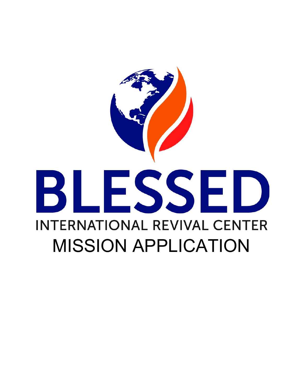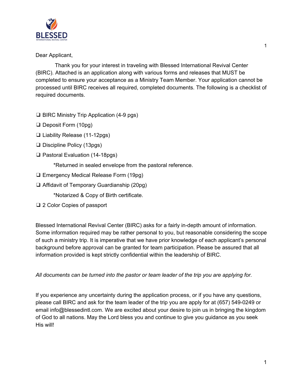

Dear Applicant,

Thank you for your interest in traveling with Blessed International Revival Center (BIRC). Attached is an application along with various forms and releases that MUST be completed to ensure your acceptance as a Ministry Team Member. Your application cannot be processed until BIRC receives all required, completed documents. The following is a checklist of required documents.

- ❑ BIRC Ministry Trip Application (4-9 pgs)
- ❑ Deposit Form (10pg)
- ❑ Liability Release (11-12pgs)
- ❑ Discipline Policy (13pgs)
- ❑ Pastoral Evaluation (14-18pgs)

\*Returned in sealed envelope from the pastoral reference.

- ❑ Emergency Medical Release Form (19pg)
- ❑ Affidavit of Temporary Guardianship (20pg)

\*Notarized & Copy of Birth certificate.

❑ 2 Color Copies of passport

Blessed International Revival Center (BIRC) asks for a fairly in-depth amount of information. Some information required may be rather personal to you, but reasonable considering the scope of such a ministry trip. It is imperative that we have prior knowledge of each applicant's personal background before approval can be granted for team participation. Please be assured that all information provided is kept strictly confidential within the leadership of BIRC.

*All documents can be turned into the pastor or team leader of the trip you are applying for.*

If you experience any uncertainty during the application process, or if you have any questions, please call BIRC and ask for the team leader of the trip you are apply for at (657) 549-0249 or email info@blessedintl.com. We are excited about your desire to join us in bringing the kingdom of God to all nations. May the Lord bless you and continue to give you guidance as you seek His will!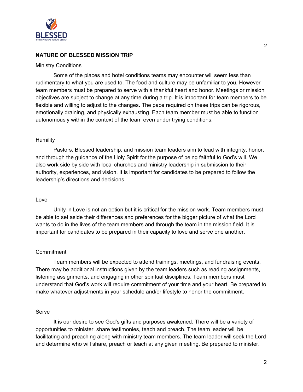

# **NATURE OF BLESSED MISSION TRIP**

## Ministry Conditions

Some of the places and hotel conditions teams may encounter will seem less than rudimentary to what you are used to. The food and culture may be unfamiliar to you. However team members must be prepared to serve with a thankful heart and honor. Meetings or mission objectives are subject to change at any time during a trip. It is important for team members to be flexible and willing to adjust to the changes. The pace required on these trips can be rigorous, emotionally draining, and physically exhausting. Each team member must be able to function autonomously within the context of the team even under trying conditions.

## **Humility**

Pastors, Blessed leadership, and mission team leaders aim to lead with integrity, honor, and through the guidance of the Holy Spirit for the purpose of being faithful to God's will. We also work side by side with local churches and ministry leadership in submission to their authority, experiences, and vision. It is important for candidates to be prepared to follow the leadership's directions and decisions.

## Love

Unity in Love is not an option but it is critical for the mission work. Team members must be able to set aside their differences and preferences for the bigger picture of what the Lord wants to do in the lives of the team members and through the team in the mission field. It is important for candidates to be prepared in their capacity to love and serve one another.

## **Commitment**

Team members will be expected to attend trainings, meetings, and fundraising events. There may be additional instructions given by the team leaders such as reading assignments, listening assignments, and engaging in other spiritual disciplines. Team members must understand that God's work will require commitment of your time and your heart. Be prepared to make whatever adjustments in your schedule and/or lifestyle to honor the commitment.

## Serve

It is our desire to see God's gifts and purposes awakened. There will be a variety of opportunities to minister, share testimonies, teach and preach. The team leader will be facilitating and preaching along with ministry team members. The team leader will seek the Lord and determine who will share, preach or teach at any given meeting. Be prepared to minister.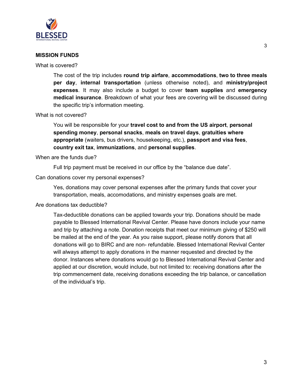

# **MISSION FUNDS**

What is covered?

The cost of the trip includes **round trip airfare**, **accommodations**, **two to three meals per day**, **internal transportation** (unless otherwise noted), and **ministry/project expenses**. It may also include a budget to cover **team supplies** and **emergency medical insurance**. Breakdown of what your fees are covering will be discussed during the specific trip's information meeting.

## What is not covered?

You will be responsible for your **travel cost to and from the US airport**, **personal spending money**, **personal snacks**, **meals on travel days**, **gratuities where appropriate** (waiters, bus drivers, housekeeping, etc.), **passport and visa fees**, **country exit tax**, **immunizations**, and **personal supplies**.

When are the funds due?

Full trip payment must be received in our office by the "balance due date".

Can donations cover my personal expenses?

Yes, donations may cover personal expenses after the primary funds that cover your transportation, meals, accomodations, and ministry expenses goals are met.

## Are donations tax deductible?

Tax-deductible donations can be applied towards your trip. Donations should be made payable to Blessed International Revival Center. Please have donors include your name and trip by attaching a note. Donation receipts that meet our minimum giving of \$250 will be mailed at the end of the year. As you raise support, please notify donors that all donations will go to BIRC and are non- refundable. Blessed International Revival Center will always attempt to apply donations in the manner requested and directed by the donor. Instances where donations would go to Blessed International Revival Center and applied at our discretion, would include, but not limited to: receiving donations after the trip commencement date, receiving donations exceeding the trip balance, or cancellation of the individual's trip.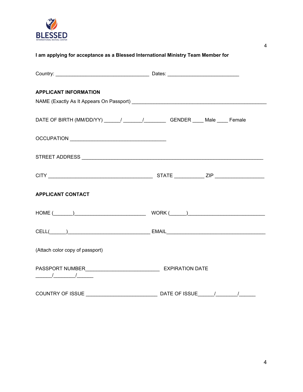

| I am applying for acceptance as a Blessed International Ministry Team Member for |                                                          |  |
|----------------------------------------------------------------------------------|----------------------------------------------------------|--|
|                                                                                  |                                                          |  |
| <b>APPLICANT INFORMATION</b>                                                     |                                                          |  |
|                                                                                  |                                                          |  |
| DATE OF BIRTH (MM/DD/YY) _____/ ______/ _________ GENDER ____ Male ____ Female   |                                                          |  |
|                                                                                  |                                                          |  |
|                                                                                  |                                                          |  |
|                                                                                  |                                                          |  |
| <b>APPLICANT CONTACT</b>                                                         |                                                          |  |
|                                                                                  | $\begin{array}{c} \text{HOME} \ (\_\_\_\_\_)\end{array}$ |  |
|                                                                                  |                                                          |  |
| (Attach color copy of passport)                                                  |                                                          |  |
| $\frac{1}{\sqrt{2\pi}}$                                                          |                                                          |  |
|                                                                                  |                                                          |  |

4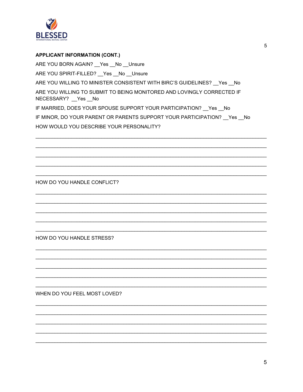

**APPLICANT INFORMATION (CONT.)** ARE YOU BORN AGAIN? \_\_ Yes \_\_ No \_\_ Unsure ARE YOU SPIRIT-FILLED? \_\_ Yes \_\_ No \_\_ Unsure ARE YOU WILLING TO MINISTER CONSISTENT WITH BIRC'S GUIDELINES? \_\_ Yes \_\_ No ARE YOU WILLING TO SUBMIT TO BEING MONITORED AND LOVINGLY CORRECTED IF NECESSARY? Yes \_No IF MARRIED, DOES YOUR SPOUSE SUPPORT YOUR PARTICIPATION? \_\_ Yes \_\_ No IF MINOR, DO YOUR PARENT OR PARENTS SUPPORT YOUR PARTICIPATION? Yes No HOW WOULD YOU DESCRIBE YOUR PERSONALITY?

HOW DO YOU HANDLE CONFLICT?

HOW DO YOU HANDLE STRESS?

WHEN DO YOU FEEL MOST LOVED?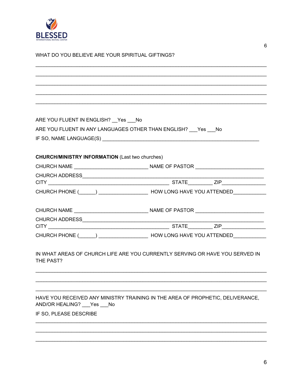

|  |  |  | WHAT DO YOU BELIEVE ARE YOUR SPIRITUAL GIFTINGS? |
|--|--|--|--------------------------------------------------|
|--|--|--|--------------------------------------------------|

| ARE YOU FLUENT IN ENGLISH? __ Yes ___ No               |                                                                                                     |
|--------------------------------------------------------|-----------------------------------------------------------------------------------------------------|
|                                                        | ARE YOU FLUENT IN ANY LANGUAGES OTHER THAN ENGLISH? Yes No                                          |
|                                                        |                                                                                                     |
|                                                        |                                                                                                     |
| <b>CHURCH/MINISTRY INFORMATION (Last two churches)</b> |                                                                                                     |
|                                                        |                                                                                                     |
|                                                        |                                                                                                     |
|                                                        |                                                                                                     |
|                                                        | CHURCH PHONE (CORRECTIVE CHURCH AVE YOU ATTENDED CHURCH PHONE (CORRECTIVE CHURCH PHONE (CORRECTIVE) |
|                                                        |                                                                                                     |
|                                                        |                                                                                                     |
|                                                        |                                                                                                     |
|                                                        |                                                                                                     |
|                                                        | CHURCH PHONE (CONSUMING CONSUMING A NOW LONG HAVE YOU ATTENDED                                      |
|                                                        |                                                                                                     |
|                                                        | IN WHAT AREAS OF CHURCH LIFE ARE YOU CURRENTLY SERVING OR HAVE YOU SERVED IN                        |
| THE PAST?                                              |                                                                                                     |
|                                                        |                                                                                                     |
|                                                        |                                                                                                     |
|                                                        |                                                                                                     |
|                                                        | HAVE YOU RECEIVED ANY MINISTRY TRAINING IN THE AREA OF PROPHETIC, DELIVERANCE,                      |
| AND/OR HEALING? ___ Yes ___ No                         |                                                                                                     |
| IF SO, PLEASE DESCRIBE                                 |                                                                                                     |
|                                                        |                                                                                                     |
|                                                        |                                                                                                     |
|                                                        |                                                                                                     |
|                                                        |                                                                                                     |
|                                                        |                                                                                                     |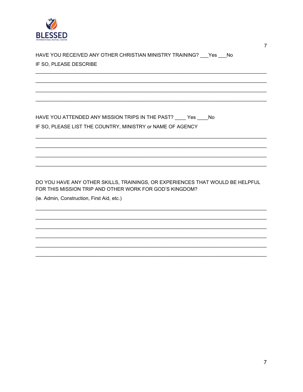

| IF SO. PLEASE DESCRIBE |  |
|------------------------|--|

HAVE YOU ATTENDED ANY MISSION TRIPS IN THE PAST? \_\_\_\_ Yes \_\_\_\_ No IF SO, PLEASE LIST THE COUNTRY, MINISTRY or NAME OF AGENCY

DO YOU HAVE ANY OTHER SKILLS, TRAININGS, OR EXPERIENCES THAT WOULD BE HELPFUL FOR THIS MISSION TRIP AND OTHER WORK FOR GOD'S KINGDOM?

(ie. Admin, Construction, First Aid, etc.)

 $\overline{7}$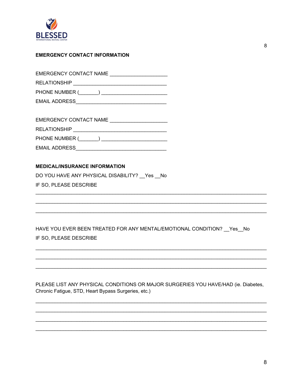

## **EMERGENCY CONTACT INFORMATION**

| <b>EMERGENCY CONTACT NAME</b> |
|-------------------------------|
| <b>RELATIONSHIP</b>           |
| PHONE NUMBER (                |
| <b>EMAIL ADDRESS</b>          |

| EMERGENCY CONTACT NAME |  |  |
|------------------------|--|--|
| <b>RELATIONSHIP</b>    |  |  |
| PHONE NUMBER ( )       |  |  |
| <b>EMAIL ADDRESS</b>   |  |  |

## **MEDICAL/INSURANCE INFORMATION**

DO YOU HAVE ANY PHYSICAL DISABILITY? \_\_ Yes \_\_ No IF SO, PLEASE DESCRIBE

HAVE YOU EVER BEEN TREATED FOR ANY MENTAL/EMOTIONAL CONDITION? \_\_ Yes \_\_ No IF SO, PLEASE DESCRIBE

PLEASE LIST ANY PHYSICAL CONDITIONS OR MAJOR SURGERIES YOU HAVE/HAD (ie. Diabetes, Chronic Fatigue, STD, Heart Bypass Surgeries, etc.)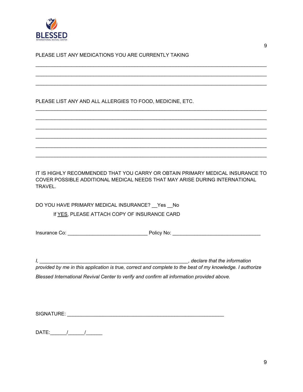

PLEASE LIST ANY MEDICATIONS YOU ARE CURRENTLY TAKING

PLEASE LIST ANY AND ALL ALLERGIES TO FOOD, MEDICINE, ETC.

IT IS HIGHLY RECOMMENDED THAT YOU CARRY OR OBTAIN PRIMARY MEDICAL INSURANCE TO COVER POSSIBLE ADDITIONAL MEDICAL NEEDS THAT MAY ARISE DURING INTERNATIONAL TRAVEL.

 $\_$  ,  $\_$  ,  $\_$  ,  $\_$  ,  $\_$  ,  $\_$  ,  $\_$  ,  $\_$  ,  $\_$  ,  $\_$  ,  $\_$  ,  $\_$  ,  $\_$  ,  $\_$  ,  $\_$  ,  $\_$  ,  $\_$  ,  $\_$  ,  $\_$  ,  $\_$  ,  $\_$  ,  $\_$  ,  $\_$  ,  $\_$  ,  $\_$  ,  $\_$  ,  $\_$  ,  $\_$  ,  $\_$  ,  $\_$  ,  $\_$  ,  $\_$  ,  $\_$  ,  $\_$  ,  $\_$  ,  $\_$  ,  $\_$  ,  $\_$  ,  $\_$  ,  $\_$  ,  $\_$  ,  $\_$  ,  $\_$  ,  $\_$  ,  $\_$  ,  $\_$  ,  $\_$  ,  $\_$  ,  $\_$  ,  $\_$  ,  $\_$  ,  $\_$  ,  $\_$  ,  $\_$  ,  $\_$  ,  $\_$  ,  $\_$  ,  $\_$  ,  $\_$  ,  $\_$  ,  $\_$  ,  $\_$  ,  $\_$  ,  $\_$  ,  $\_$  ,  $\_$  ,  $\_$  ,  $\_$  ,  $\_$  ,  $\_$  ,  $\_$  ,  $\_$  ,  $\_$  ,  $\_$  ,  $\_$  ,  $\_$  ,  $\_$  ,  $\_$  ,  $\_$  ,  $\_$  ,  $\_$  ,  $\_$  ,  $\_$  ,  $\_$  ,  $\_$  ,  $\_$  ,  $\_$  ,  $\_$  ,  $\_$  ,  $\_$  ,  $\_$  ,  $\_$  ,  $\_$  ,  $\_$  ,  $\_$  ,  $\_$  ,  $\_$  ,  $\_$  ,  $\_$  ,  $\_$  ,  $\_$  ,  $\_$  ,  $\_$  ,  $\_$  ,  $\_$  ,  $\_$  ,  $\_$  ,  $\_$  ,  $\_$  ,  $\_$  ,  $\_$  ,

 $\_$  ,  $\_$  ,  $\_$  ,  $\_$  ,  $\_$  ,  $\_$  ,  $\_$  ,  $\_$  ,  $\_$  ,  $\_$  ,  $\_$  ,  $\_$  ,  $\_$  ,  $\_$  ,  $\_$  ,  $\_$  ,  $\_$  ,  $\_$  ,  $\_$  ,  $\_$  ,  $\_$  ,  $\_$  ,  $\_$  ,  $\_$  ,  $\_$  ,  $\_$  ,  $\_$  ,  $\_$  ,  $\_$  ,  $\_$  ,  $\_$  ,  $\_$  ,  $\_$  ,  $\_$  ,  $\_$  ,  $\_$  ,  $\_$  ,  $\_$  ,  $\_$  ,  $\_$  ,  $\_$  ,  $\_$  ,  $\_$  ,  $\_$  ,  $\_$  ,  $\_$  ,  $\_$  ,  $\_$  ,  $\_$  ,  $\_$  ,  $\_$  ,  $\_$  ,  $\_$  ,  $\_$  ,  $\_$  ,  $\_$  ,  $\_$  ,  $\_$  ,  $\_$  ,  $\_$  ,  $\_$  ,  $\_$  ,  $\_$  ,  $\_$  ,  $\_$  ,  $\_$  ,  $\_$  ,  $\_$  ,  $\_$  ,  $\_$  ,  $\_$  ,  $\_$  ,  $\_$  ,  $\_$  ,  $\_$  ,  $\_$  ,  $\_$  ,  $\_$  ,  $\_$  ,  $\_$  ,  $\_$  ,  $\_$  ,  $\_$  ,  $\_$  ,  $\_$  ,  $\_$  ,  $\_$  ,  $\_$  ,  $\_$  ,  $\_$  ,  $\_$  ,  $\_$  ,  $\_$  ,  $\_$  ,  $\_$  ,  $\_$  ,  $\_$  ,  $\_$  ,  $\_$  ,  $\_$  ,  $\_$  ,  $\_$  ,  $\_$  ,  $\_$  ,  $\_$  ,  $\_$  ,  $\_$  ,  $\_$  ,  $\_$  ,  $\_$  ,  $\_$  ,  $\_$  ,  $\_$  ,  $\_$  ,  $\_$  ,  $\_$  ,  $\_$  ,  $\_$  ,  $\_$  ,  $\_$  ,  $\_$  ,  $\_$  ,  $\_$  ,  $\_$  ,  $\_$  ,  $\_$  ,  $\_$  ,  $\_$  ,  $\_$  ,  $\_$  ,  $\_$  ,  $\_$  ,  $\_$  ,  $\_$  ,  $\_$  ,  $\_$  ,  $\_$  ,  $\_$  ,  $\_$  ,  $\_$  ,  $\_$  ,  $\_$  ,  $\_$  ,  $\_$  ,  $\_$  ,  $\_$  ,  $\_$  ,  $\_$  ,  $\_$  ,  $\_$  ,  $\_$  ,  $\_$  ,  $\_$  ,  $\_$  ,  $\_$  ,  $\_$  ,  $\_$  ,  $\_$  ,  $\_$  ,  $\_$  ,  $\_$  ,  $\_$  ,  $\_$  ,  $\_$  ,  $\_$  ,  $\_$  ,  $\_$  ,  $\_$  ,  $\_$  ,  $\_$  ,  $\_$  ,  $\_$  ,  $\_$  ,  $\_$  ,  $\_$  ,  $\_$  ,  $\_$  ,  $\_$  ,  $\_$  ,  $\_$  ,  $\_$  ,  $\_$  ,  $\_$  ,  $\_$  ,  $\_$  ,  $\_$  ,  $\_$  ,  $\_$  ,  $\_$  ,  $\_$  ,  $\_$  ,  $\_$  ,  $\_$  ,  $\_$  ,  $\_$  ,  $\_$  ,  $\_$  ,  $\_$  ,  $\_$  ,  $\_$  ,  $\_$  ,  $\_$  ,  $\_$  ,  $\_$  ,  $\_$  ,  $\_$  ,  $\_$  ,  $\_$  ,  $\_$  ,  $\_$  ,  $\_$  ,  $\_$  ,  $\_$  ,  $\_$  ,  $\_$  ,  $\_$  ,  $\_$  ,  $\_$  ,  $\_$  ,  $\_$  ,  $\_$  ,  $\_$  ,

DO YOU HAVE PRIMARY MEDICAL INSURANCE? \_\_Yes \_\_No If YES, PLEASE ATTACH COPY OF INSURANCE CARD

Insurance Co: \_\_\_\_\_\_\_\_\_\_\_\_\_\_\_\_\_\_\_\_\_\_\_\_\_\_\_\_\_ Policy No: \_\_\_\_\_\_\_\_\_\_\_\_\_\_\_\_\_\_\_\_\_\_\_\_\_\_\_\_\_\_\_\_

*I, \_\_\_\_\_\_\_\_\_\_\_\_\_\_\_\_\_\_\_\_\_\_\_\_\_\_\_\_\_\_\_\_\_\_\_\_\_\_\_\_\_\_\_\_\_\_\_\_\_\_\_\_\_\_, declare that the information*

provided by me in this application is true, correct and complete to the best of my knowledge. I authorize *Blessed International Revival Center to verify and confirm all information provided above.*

SIGNATURE: \_\_\_\_\_\_\_\_\_\_\_\_\_\_\_\_\_\_\_\_\_\_\_\_\_\_\_\_\_\_\_\_\_\_\_\_\_\_\_\_\_\_\_\_\_\_\_\_\_\_\_\_\_\_\_\_\_

DATE:\_\_\_\_\_\_/\_\_\_\_\_\_/\_\_\_\_\_\_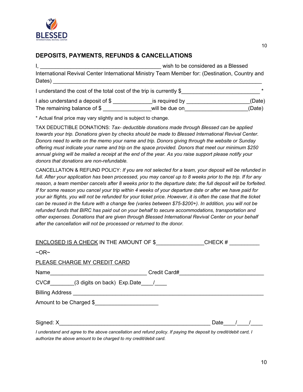

# **DEPOSITS, PAYMENTS, REFUNDS & CANCELLATIONS**

I, the considered as a Blessed state of the state of the wish to be considered as a Blessed International Revival Center International Ministry Team Member for: (Destination, Country and Dates) I understand the cost of the total cost of the trip is currently \$

I also understand a deposit of \$ The remaining balance of  $\frac{1}{2}$  \_\_\_\_\_\_\_\_\_\_\_\_\_\_\_\_\_\_\_will be due on\_\_\_\_\_\_\_\_\_\_\_\_\_\_\_\_\_\_\_\_\_\_\_\_\_\_(Date)

\* Actual final price may vary slightly and is subject to change.

TAX DEDUCTIBLE DONATIONS: *Tax- deductible donations made through Blessed can be applied towards your trip. Donations given by checks should be made to Blessed International Revival Center. Donors need to write on the memo your name and trip. Donors giving through the website or Sunday offering must indicate your name and trip on the space provided. Donors that meet our minimum \$250* annual giving will be mailed a receipt at the end of the year. As you raise support please notify your *donors that donations are non-refundable.*

CANCELLATION & REFUND POLICY: *If you are not selected for a team, your deposit will be refunded in* full. After your application has been processed, you may cancel up to 8 weeks prior to the trip. If for any reason, a team member cancels after 8 weeks prior to the departure date; the full deposit will be forfeited. If for some reason you cancel your trip within 4 weeks of your departure date or after we have paid for your air flights, you will not be refunded for your ticket price. However, it is often the case that the ticket can be reused in the future with a change fee (varies between \$75-\$200+). In addition, you will not be *refunded funds that BIRC has paid out on your behalf to secure accommodations, transportation and other expenses. Donations that are given through Blessed International Revival Center on your behalf after the cancellation will not be processed or returned to the donor.*

| ENCLOSED IS A CHECK IN THE AMOUNT OF \$ | $CHECK \#$ |  |
|-----------------------------------------|------------|--|
| $\neg$ OR $\neg$                        |            |  |
| PLEASE CHARGE MY CREDIT CARD            |            |  |
| Name                                    |            |  |
| CVC# (3 digits on back) Exp.Date /      |            |  |
| <b>Billing Address Billing Address</b>  |            |  |
| Amount to be Charged \$                 |            |  |
|                                         |            |  |
| Signed: X                               | Date       |  |
|                                         |            |  |

*I understand and agree to the above cancellation and refund policy. If paying the deposit by credit/debit card, I authorize the above amount to be charged to my credit/debit card.*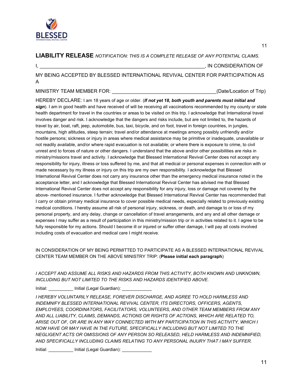

**LIABILITY RELEASE** *NOTIFICATION: THIS IS A COMPLETE RELEASE OF ANY POTENTIAL CLAIMS.*

I, ZEPTER ENTIRE A LA CONSIDERATION OF

MY BEING ACCEPTED BY BLESSED INTERNATIONAL REVIVAL CENTER FOR PARTICIPATION AS A

MINISTRY TEAM MEMBER FOR: The state of the state of the state of Trip) and the state of the state of the state of the state of the state of the state of the state of the state of the state of the state of the state of the

11

HEREBY DECLARE: I am 18 years of age or older. (*If not yet 18, both youth and parents must initial and sign*). I am in good health and have received of will be receiving all vaccinations recommended by my county or state health department for travel in the countries or areas to be visited on this trip. I acknowledge that International travel involves danger and risk. I acknowledge that the dangers and risks include, but are not limited to, the hazards of travel by air, boat, raft, jeep, automobile, bus, taxi, bicycle, and on foot, travel in foreign countries, in jungles, mountains, high altitudes, steep terrain; travel and/or attendance at meetings among possibly unfriendly and/or hostile persons; sickness or injury in areas where medical assistance may be primitive or inadequate, unavailable or not readily available, and/or where rapid evacuation is not available; or where there is exposure to crime, to civil unrest and to forces of nature or other dangers. I understand that the above and/or other possibilities are risks in ministry/missions travel and activity. I acknowledge that Blessed International Revival Center does not accept any responsibility for injury, illness or loss suffered by me, and that all medical or personal expenses in connection with or made necessary by my illness or injury on this trip are my own responsibility. I acknowledge that Blessed International Revival Center does not carry any insurance other than the emergency medical insurance noted in the acceptance letter, and I acknowledge that Blessed International Revival Center has advised me that Blessed International Revival Center does not accept any responsibility for any injury, loss or damage not covered by the above- mentioned insurance. I further acknowledge that Blessed International Revival Center has recommended that I carry or obtain primary medical insurance to cover possible medical needs, especially related to previously existing medical conditions. I hereby assume all risk of personal injury, sickness, or death, and damage to or loss of my personal property, and any delay, change or cancellation of travel arrangements, and any and all other damage or expenses I may suffer as a result of participation in this ministry/mission trip or in activities related to it. I agree to be fully responsible for my actions. Should I become ill or injured or suffer other damage, I will pay all costs involved including costs of evacuation and medical care I might receive.

IN CONSIDERATION OF MY BEING PERMITTED TO PARTICIPATE AS A BLESSED INTERNATIONAL REVIVAL CENTER TEAM MEMBER ON THE ABOVE MINISTRY TRIP: (**Please initial each paragraph**)

*I ACCEPT AND ASSUME ALL RISKS AND HAZARDS FROM THIS ACTIVITY, BOTH KNOWN AND UNKNOWN, INCLUDING BUT NOT LIMITED TO THE RISKS AND HAZARDS IDENTIFIED ABOVE.*

Initial: Initial (Legal Guardian):

*I HEREBY VOLUNTARILY RELEASE, FOREVER DISCHARGE, AND AGREE TO HOLD HARMLESS AND INDEMNIFY BLESSED INTERNATIONAL REVIVAL CENTER, ITS DIRECTORS, OFFICERS, AGENTS, EMPLOYEES, COORDINATORS, FACILITATORS, VOLUNTEERS, AND OTHER TEAM MEMBERS FROM ANY AND ALL LIABILITY, CLAIMS, DEMANDS, ACTIONS OR RIGHTS OF ACTIONS, WHICH ARE RELATED TO, ARISE OUT OF, OR ARE IN ANY WAY CONNECTED WITH MY PARTICIPATION IN THIS ACTIVITY, WHICH I NOW HAVE OR MAY HAVE IN THE FUTURE, SPECIFICALLY INCLUDING BUT NOT LIMITED TO THE NEGLIGENT ACTS OR OMISSIONS OF ANY PERSON SO RELEASED, HELD HARMLESS AND INDEMNIFIED, AND SPECIFICALLY INCLUDING CLAIMS RELATING TO ANY PERSONAL INJURY THAT I MAY SUFFER.*

Initial: **\_\_\_\_\_\_\_\_\_\_\_** Initial (Legal Guardian): \_\_\_\_\_\_\_\_\_\_\_\_\_\_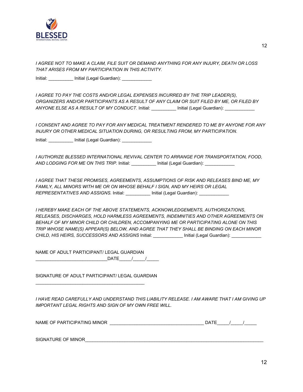

*I AGREE NOT TO MAKE A CLAIM, FILE SUIT OR DEMAND ANYTHING FOR ANY INJURY, DEATH OR LOSS THAT ARISES FROM MY PARTICIPATION IN THIS ACTIVITY.*

Initial: **We are all initial (Legal Guardian): We are all initial** (Legal Guardian):

*I AGREE TO PAY THE COSTS AND/OR LEGAL EXPENSES INCURRED BY THE TRIP LEADER(S), ORGANIZERS AND/OR PARTICIPANTS AS A RESULT OF ANY CLAIM OR SUIT FILED BY ME, OR FILED BY ANYONE ELSE AS A RESULT OF MY CONDUCT.* Initial: \_\_\_\_\_\_\_\_\_\_ Initial (Legal Guardian): \_\_\_\_\_\_\_\_\_\_\_\_

*I CONSENT AND AGREE TO PAY FOR ANY MEDICAL TREATMENT RENDERED TO ME BY ANYONE FOR ANY INJURY OR OTHER MEDICAL SITUATION DURING, OR RESULTING FROM, MY PARTICIPATION.*

Initial: \_\_\_\_\_\_\_\_\_\_\_ Initial (Legal Guardian): \_\_\_\_\_\_\_\_\_\_\_\_\_

*I AUTHORIZE BLESSED INTERNATIONAL REVIVAL CENTER TO ARRANGE FOR TRANSPORTATION, FOOD, AND LODGING FOR ME ON THIS TRIP.* Initial: \_\_\_\_\_\_\_\_\_\_ Initial (Legal Guardian): \_\_\_\_\_\_\_\_\_\_\_\_

*I AGREE THAT THESE PROMISES, AGREEMENTS, ASSUMPTIONS OF RISK AND RELEASES BIND ME, MY FAMILY, ALL MINORS WITH ME OR ON WHOSE BEHALF I SIGN, AND MY HEIRS OR LEGAL REPRESENTATIVES AND ASSIGNS.* Initial: \_\_\_\_\_\_\_\_\_\_ Initial (Legal Guardian): \_\_\_\_\_\_\_\_\_\_\_\_

*I HEREBY MAKE EACH OF THE ABOVE STATEMENTS, ACKNOWLEDGEMENTS, AUTHORIZATIONS, RELEASES, DISCHARGES, HOLD HARMLESS AGREEMENTS, INDEMNITIES AND OTHER AGREEMENTS ON BEHALF OF MY MINOR CHILD OR CHILDREN, ACCOMPANYING ME OR PARTICIPATING ALONE ON THIS TRIP WHOSE NAME(S) APPEAR(S) BELOW, AND AGREE THAT THEY SHALL BE BINDING ON EACH MINOR CHILD, HIS HEIRS, SUCCESSORS AND ASSIGNS* Initial: \_\_\_\_\_\_\_\_\_\_\_\_ Initial (Legal Guardian): \_\_\_\_\_\_\_\_\_\_\_\_

NAME OF ADULT PARTICIPANT/ LEGAL GUARDIAN \_\_\_\_\_\_\_\_\_\_\_\_\_\_\_\_\_\_\_\_\_\_\_\_\_\_\_\_\_DATE\_\_\_\_\_/\_\_\_\_\_/\_\_\_\_\_

SIGNATURE OF ADULT PARTICIPANT/ LEGAL GUARDIAN

 $\mathcal{L}_\text{max}$  , and the set of the set of the set of the set of the set of the set of the set of the set of the set of the set of the set of the set of the set of the set of the set of the set of the set of the set of the

*I HAVE READ CAREFULLY AND UNDERSTAND THIS LIABILITY RELEASE. I AM AWARE THAT I AM GIVING UP IMPORTANT LEGAL RIGHTS AND SIGN OF MY OWN FREE WILL.*

| NAME OF PARTICIPATING MINOR<br>۱Δ |  |  |
|-----------------------------------|--|--|
|-----------------------------------|--|--|

SIGNATURE OF MINOR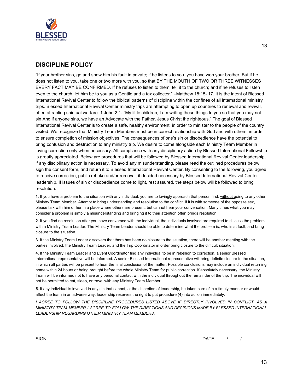

# **DISCIPLINE POLICY**

"If your brother sins, go and show him his fault in private; if he listens to you, you have won your brother. But if he does not listen to you, take one or two more with you, so that BY THE MOUTH OF TWO OR THREE WITNESSES EVERY FACT MAY BE CONFIRMED. If he refuses to listen to them, tell it to the church; and if he refuses to listen even to the church, let him be to you as a Gentile and a tax collector." –Matthew 18:15- 17. It is the intent of Blessed International Revival Center to follow the biblical patterns of discipline within the confines of all international ministry trips. Blessed International Revival Center ministry trips are attempting to open up countries to renewal and revival, often attracting spiritual warfare. 1 John 2:1- "My little children, I am writing these things to you so that you may not sin And if anyone sins, we have an Advocate with the Father, Jesus Christ the righteous." The goal of Blessed International Revival Center is to create a safe, healthy environment, in order to minister to the people of the country visited. We recognize that Ministry Team Members must be in correct relationship with God and with others, in order to ensure completion of mission objectives. The consequences of one's sin or disobedience have the potential to bring confusion and destruction to any ministry trip. We desire to come alongside each Ministry Team Member in loving correction only when necessary. All compliance with any disciplinary action by Blessed International Fellowship is greatly appreciated. Below are procedures that will be followed by Blessed International Revival Center leadership, if any disciplinary action is necessary. To avoid any misunderstanding, please read the outlined procedures below, sign the consent form, and return it to Blessed International Revival Center. By consenting to the following, you agree to receive correction, public rebuke and/or removal, if decided necessary by Blessed International Revival Center leadership. If issues of sin or disobedience come to light, rest assured, the steps below will be followed to bring resolution.

**1**. If you have a problem to the situation with any individual, you are to lovingly approach that person first, without going to any other Ministry Team Member. Attempt to bring understanding and resolution to the conflict. If it is with someone of the opposite sex, please talk with him or her in a place where others are present, but cannot hear your conversation. Many times what you may consider a problem is simply a misunderstanding and bringing it to their attention often brings resolution.

**2**. If you find no resolution after you have conversed with the individual, the individuals involved are required to discuss the problem with a Ministry Team Leader. The Ministry Team Leader should be able to determine what the problem is, who is at fault, and bring closure to the situation.

**3**. If the Ministry Team Leader discovers that there has been no closure to the situation, there will be another meeting with the parties involved, the Ministry Team Leader, and the Trip Coordinator in order bring closure to the difficult situation.

**4**. If the Ministry Team Leader and Event Coordinator find any individual to be in rebellion to correction, a senior Blessed International representative will be informed. A senior Blessed International representative will bring definite closure to the situation, in which all parties will be present to hear the final conclusion of the matter. Possible conclusions may include an individual returning home within 24 hours or being brought before the whole Ministry Team for public correction. If absolutely necessary, the Ministry Team will be informed not to have any personal contact with the individual throughout the remainder of the trip. The individual will not be permitted to eat, sleep, or travel with any Ministry Team Member.

**5**. If any individual is involved in any sin that cannot, at the discretion of leadership, be taken care of in a timely manner or would affect the team in an adverse way, leadership reserves the right to put procedure (4) into action immediately.

*I AGREE TO FOLLOW THE DISCIPLINE PROCEDURES LISTED ABOVE IF DIRECTLY INVOLVED IN CONFLICT. AS A MINISTRY TEAM MEMBER I AGREE TO FOLLOW THE DIRECTIONS AND DECISIONS MADE BY BLESSED INTERNATIONAL LEADERSHIP REGARDING OTHER MINISTRY TEAM MEMBERS.*

| <b>SIGN</b> | $-$<br>۱Δ<br>-- |  |  |
|-------------|-----------------|--|--|
|             |                 |  |  |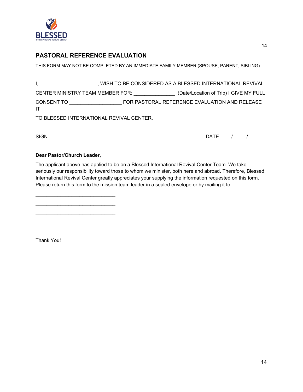

# **PASTORAL REFERENCE EVALUATION**

THIS FORM MAY NOT BE COMPLETED BY AN IMMEDIATE FAMILY MEMBER (SPOUSE, PARENT, SIBLING)

|                                                                                                                                                                                                                                       |  | , WISH TO BE CONSIDERED AS A BLESSED INTERNATIONAL REVIVAL |  |
|---------------------------------------------------------------------------------------------------------------------------------------------------------------------------------------------------------------------------------------|--|------------------------------------------------------------|--|
| CENTER MINISTRY TEAM MEMBER FOR:                                                                                                                                                                                                      |  | (Date/Location of Trip) I GIVE MY FULL                     |  |
| CONSENT TO THE CONSENTING CONSENTING THE CONSENTING CONSENSITION CONSENSITION CONSENSITION CONSENSITION CONSENSITION CONSENSITION CONSENSITION CONSENSITION CONSENSITION CONSENSITION CONSENSITION CONSENSITION CONSENSITION C<br>IT. |  | FOR PASTORAL REFERENCE EVALUATION AND RELEASE              |  |
| TO BLESSED INTERNATIONAL REVIVAL CENTER.                                                                                                                                                                                              |  |                                                            |  |

| <b>SIGN</b> | ᆍ<br>۱Δ<br>. L 1 |
|-------------|------------------|
|             | $\sim$           |

## **Dear Pastor/Church Leader**,

\_\_\_\_\_\_\_\_\_\_\_\_\_\_\_\_\_\_\_\_\_\_\_\_\_\_\_\_\_ \_\_\_\_\_\_\_\_\_\_\_\_\_\_\_\_\_\_\_\_\_\_\_\_\_\_\_\_\_ \_\_\_\_\_\_\_\_\_\_\_\_\_\_\_\_\_\_\_\_\_\_\_\_\_\_\_\_\_

The applicant above has applied to be on a Blessed International Revival Center Team. We take seriously our responsibility toward those to whom we minister, both here and abroad. Therefore, Blessed International Revival Center greatly appreciates your supplying the information requested on this form. Please return this form to the mission team leader in a sealed envelope or by mailing it to

Thank You!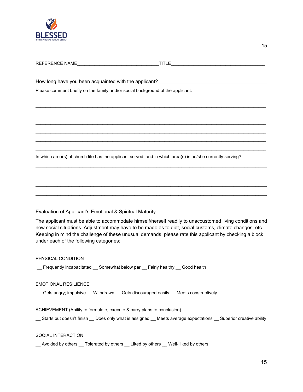

| Please comment briefly on the family and/or social background of the applicant. |                                                                                                                       |
|---------------------------------------------------------------------------------|-----------------------------------------------------------------------------------------------------------------------|
|                                                                                 |                                                                                                                       |
|                                                                                 |                                                                                                                       |
|                                                                                 |                                                                                                                       |
|                                                                                 | <u> 1989 - Johann Stoff, deutscher Stoff, der Stoff, der Stoff, der Stoff, der Stoff, der Stoff, der Stoff, der S</u> |
|                                                                                 |                                                                                                                       |
|                                                                                 |                                                                                                                       |
|                                                                                 | In which area(s) of church life has the applicant served, and in which area(s) is he/she currently serving?           |
|                                                                                 |                                                                                                                       |
|                                                                                 |                                                                                                                       |
|                                                                                 |                                                                                                                       |
|                                                                                 |                                                                                                                       |

Evaluation of Applicant's Emotional & Spiritual Maturity:

The applicant must be able to accommodate himself/herself readily to unaccustomed living conditions and new social situations. Adjustment may have to be made as to diet, social customs, climate changes, etc. Keeping in mind the challenge of these unusual demands, please rate this applicant by checking a block under each of the following categories:

## PHYSICAL CONDITION

\_\_ Frequently incapacitated \_\_ Somewhat below par \_\_ Fairly healthy \_\_ Good health

### EMOTIONAL RESILIENCE

\_\_ Gets angry; impulsive \_\_ Withdrawn \_\_ Gets discouraged easily \_\_ Meets constructively

ACHIEVEMENT (Ability to formulate, execute & carry plans to conclusion)

\_\_ Starts but doesn't finish \_\_ Does only what is assigned \_\_ Meets average expectations \_\_ Superior creative ability

### SOCIAL INTERACTION

\_\_ Avoided by others \_\_ Tolerated by others \_\_ Liked by others \_\_ Well- liked by others

15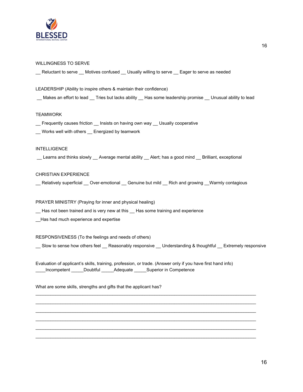

### WILLINGNESS TO SERVE

\_\_ Reluctant to serve \_\_ Motives confused \_\_ Usually willing to serve \_\_ Eager to serve as needed

#### LEADERSHIP (Ability to inspire others & maintain their confidence)

\_\_ Makes an effort to lead \_\_ Tries but lacks ability \_\_ Has some leadership promise \_\_ Unusual ability to lead

### TEAMWORK

- \_\_ Frequently causes friction \_\_ Insists on having own way \_\_ Usually cooperative
- \_\_ Works well with others \_\_ Energized by teamwork

#### INTELLIGENCE

\_\_ Learns and thinks slowly \_\_ Average mental ability \_\_ Alert; has a good mind \_\_ Brilliant, exceptional

### CHRISTIAN EXPERIENCE

\_\_ Relatively superficial \_\_ Over-emotional \_\_ Genuine but mild \_\_ Rich and growing \_\_Warmly contagious

### PRAYER MINISTRY (Praying for inner and physical healing)

\_\_ Has not been trained and is very new at this \_\_ Has some training and experience

\_\_Has had much experience and expertise

RESPONSIVENESS (To the feelings and needs of others)

\_\_ Slow to sense how others feel \_\_ Reasonably responsive \_\_ Understanding & thoughtful \_\_ Extremely responsive

\_\_\_\_\_\_\_\_\_\_\_\_\_\_\_\_\_\_\_\_\_\_\_\_\_\_\_\_\_\_\_\_\_\_\_\_\_\_\_\_\_\_\_\_\_\_\_\_\_\_\_\_\_\_\_\_\_\_\_\_\_\_\_\_\_\_\_\_\_\_\_\_\_\_\_\_\_\_\_\_\_\_\_\_\_\_\_\_\_ \_\_\_\_\_\_\_\_\_\_\_\_\_\_\_\_\_\_\_\_\_\_\_\_\_\_\_\_\_\_\_\_\_\_\_\_\_\_\_\_\_\_\_\_\_\_\_\_\_\_\_\_\_\_\_\_\_\_\_\_\_\_\_\_\_\_\_\_\_\_\_\_\_\_\_\_\_\_\_\_\_\_\_\_\_\_\_\_\_ \_\_\_\_\_\_\_\_\_\_\_\_\_\_\_\_\_\_\_\_\_\_\_\_\_\_\_\_\_\_\_\_\_\_\_\_\_\_\_\_\_\_\_\_\_\_\_\_\_\_\_\_\_\_\_\_\_\_\_\_\_\_\_\_\_\_\_\_\_\_\_\_\_\_\_\_\_\_\_\_\_\_\_\_\_\_\_\_\_ \_\_\_\_\_\_\_\_\_\_\_\_\_\_\_\_\_\_\_\_\_\_\_\_\_\_\_\_\_\_\_\_\_\_\_\_\_\_\_\_\_\_\_\_\_\_\_\_\_\_\_\_\_\_\_\_\_\_\_\_\_\_\_\_\_\_\_\_\_\_\_\_\_\_\_\_\_\_\_\_\_\_\_\_\_\_\_\_\_ \_\_\_\_\_\_\_\_\_\_\_\_\_\_\_\_\_\_\_\_\_\_\_\_\_\_\_\_\_\_\_\_\_\_\_\_\_\_\_\_\_\_\_\_\_\_\_\_\_\_\_\_\_\_\_\_\_\_\_\_\_\_\_\_\_\_\_\_\_\_\_\_\_\_\_\_\_\_\_\_\_\_\_\_\_\_\_\_\_ \_\_\_\_\_\_\_\_\_\_\_\_\_\_\_\_\_\_\_\_\_\_\_\_\_\_\_\_\_\_\_\_\_\_\_\_\_\_\_\_\_\_\_\_\_\_\_\_\_\_\_\_\_\_\_\_\_\_\_\_\_\_\_\_\_\_\_\_\_\_\_\_\_\_\_\_\_\_\_\_\_\_\_\_\_\_\_\_\_

Evaluation of applicant's skills, training, profession, or trade. (Answer only if you have first hand info) \_\_\_\_Incompetent \_\_\_\_\_Doubtful \_\_\_\_\_Adequate \_\_\_\_\_Superior in Competence

What are some skills, strengths and gifts that the applicant has?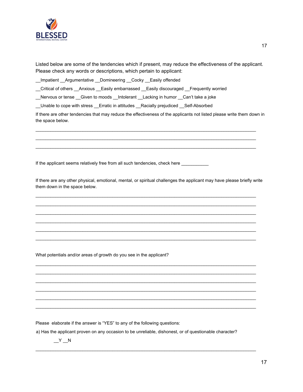

17

Listed below are some of the tendencies which if present, may reduce the effectiveness of the applicant. Please check any words or descriptions, which pertain to applicant:

\_\_Impatient \_\_Argumentative \_\_Domineering \_\_Cocky \_\_Easily offended

\_\_Critical of others \_\_Anxious \_\_Easily embarrassed \_\_Easily discouraged \_\_Frequently worried

\_\_Nervous or tense \_\_Given to moods \_\_Intolerant \_\_Lacking in humor \_\_Can't take a joke

\_\_Unable to cope with stress \_\_Erratic in attitudes \_\_Racially prejudiced \_\_Self-Absorbed

If there are other tendencies that may reduce the effectiveness of the applicants not listed please write them down in the space below.

\_\_\_\_\_\_\_\_\_\_\_\_\_\_\_\_\_\_\_\_\_\_\_\_\_\_\_\_\_\_\_\_\_\_\_\_\_\_\_\_\_\_\_\_\_\_\_\_\_\_\_\_\_\_\_\_\_\_\_\_\_\_\_\_\_\_\_\_\_\_\_\_\_\_\_\_\_\_\_\_\_\_\_\_\_\_\_\_\_ \_\_\_\_\_\_\_\_\_\_\_\_\_\_\_\_\_\_\_\_\_\_\_\_\_\_\_\_\_\_\_\_\_\_\_\_\_\_\_\_\_\_\_\_\_\_\_\_\_\_\_\_\_\_\_\_\_\_\_\_\_\_\_\_\_\_\_\_\_\_\_\_\_\_\_\_\_\_\_\_\_\_\_\_\_\_\_\_\_ \_\_\_\_\_\_\_\_\_\_\_\_\_\_\_\_\_\_\_\_\_\_\_\_\_\_\_\_\_\_\_\_\_\_\_\_\_\_\_\_\_\_\_\_\_\_\_\_\_\_\_\_\_\_\_\_\_\_\_\_\_\_\_\_\_\_\_\_\_\_\_\_\_\_\_\_\_\_\_\_\_\_\_\_\_\_\_\_\_

If the applicant seems relatively free from all such tendencies, check here \_\_\_\_\_\_\_\_\_\_

If there are any other physical, emotional, mental, or spiritual challenges the applicant may have please briefly write them down in the space below.

\_\_\_\_\_\_\_\_\_\_\_\_\_\_\_\_\_\_\_\_\_\_\_\_\_\_\_\_\_\_\_\_\_\_\_\_\_\_\_\_\_\_\_\_\_\_\_\_\_\_\_\_\_\_\_\_\_\_\_\_\_\_\_\_\_\_\_\_\_\_\_\_\_\_\_\_\_\_\_\_\_\_\_\_\_\_\_\_\_ \_\_\_\_\_\_\_\_\_\_\_\_\_\_\_\_\_\_\_\_\_\_\_\_\_\_\_\_\_\_\_\_\_\_\_\_\_\_\_\_\_\_\_\_\_\_\_\_\_\_\_\_\_\_\_\_\_\_\_\_\_\_\_\_\_\_\_\_\_\_\_\_\_\_\_\_\_\_\_\_\_\_\_\_\_\_\_\_\_ \_\_\_\_\_\_\_\_\_\_\_\_\_\_\_\_\_\_\_\_\_\_\_\_\_\_\_\_\_\_\_\_\_\_\_\_\_\_\_\_\_\_\_\_\_\_\_\_\_\_\_\_\_\_\_\_\_\_\_\_\_\_\_\_\_\_\_\_\_\_\_\_\_\_\_\_\_\_\_\_\_\_\_\_\_\_\_\_\_ \_\_\_\_\_\_\_\_\_\_\_\_\_\_\_\_\_\_\_\_\_\_\_\_\_\_\_\_\_\_\_\_\_\_\_\_\_\_\_\_\_\_\_\_\_\_\_\_\_\_\_\_\_\_\_\_\_\_\_\_\_\_\_\_\_\_\_\_\_\_\_\_\_\_\_\_\_\_\_\_\_\_\_\_\_\_\_\_\_ \_\_\_\_\_\_\_\_\_\_\_\_\_\_\_\_\_\_\_\_\_\_\_\_\_\_\_\_\_\_\_\_\_\_\_\_\_\_\_\_\_\_\_\_\_\_\_\_\_\_\_\_\_\_\_\_\_\_\_\_\_\_\_\_\_\_\_\_\_\_\_\_\_\_\_\_\_\_\_\_\_\_\_\_\_\_\_\_\_ \_\_\_\_\_\_\_\_\_\_\_\_\_\_\_\_\_\_\_\_\_\_\_\_\_\_\_\_\_\_\_\_\_\_\_\_\_\_\_\_\_\_\_\_\_\_\_\_\_\_\_\_\_\_\_\_\_\_\_\_\_\_\_\_\_\_\_\_\_\_\_\_\_\_\_\_\_\_\_\_\_\_\_\_\_\_\_\_\_

\_\_\_\_\_\_\_\_\_\_\_\_\_\_\_\_\_\_\_\_\_\_\_\_\_\_\_\_\_\_\_\_\_\_\_\_\_\_\_\_\_\_\_\_\_\_\_\_\_\_\_\_\_\_\_\_\_\_\_\_\_\_\_\_\_\_\_\_\_\_\_\_\_\_\_\_\_\_\_\_\_\_\_\_\_\_\_\_\_ \_\_\_\_\_\_\_\_\_\_\_\_\_\_\_\_\_\_\_\_\_\_\_\_\_\_\_\_\_\_\_\_\_\_\_\_\_\_\_\_\_\_\_\_\_\_\_\_\_\_\_\_\_\_\_\_\_\_\_\_\_\_\_\_\_\_\_\_\_\_\_\_\_\_\_\_\_\_\_\_\_\_\_\_\_\_\_\_\_ \_\_\_\_\_\_\_\_\_\_\_\_\_\_\_\_\_\_\_\_\_\_\_\_\_\_\_\_\_\_\_\_\_\_\_\_\_\_\_\_\_\_\_\_\_\_\_\_\_\_\_\_\_\_\_\_\_\_\_\_\_\_\_\_\_\_\_\_\_\_\_\_\_\_\_\_\_\_\_\_\_\_\_\_\_\_\_\_\_ \_\_\_\_\_\_\_\_\_\_\_\_\_\_\_\_\_\_\_\_\_\_\_\_\_\_\_\_\_\_\_\_\_\_\_\_\_\_\_\_\_\_\_\_\_\_\_\_\_\_\_\_\_\_\_\_\_\_\_\_\_\_\_\_\_\_\_\_\_\_\_\_\_\_\_\_\_\_\_\_\_\_\_\_\_\_\_\_\_ \_\_\_\_\_\_\_\_\_\_\_\_\_\_\_\_\_\_\_\_\_\_\_\_\_\_\_\_\_\_\_\_\_\_\_\_\_\_\_\_\_\_\_\_\_\_\_\_\_\_\_\_\_\_\_\_\_\_\_\_\_\_\_\_\_\_\_\_\_\_\_\_\_\_\_\_\_\_\_\_\_\_\_\_\_\_\_\_\_ \_\_\_\_\_\_\_\_\_\_\_\_\_\_\_\_\_\_\_\_\_\_\_\_\_\_\_\_\_\_\_\_\_\_\_\_\_\_\_\_\_\_\_\_\_\_\_\_\_\_\_\_\_\_\_\_\_\_\_\_\_\_\_\_\_\_\_\_\_\_\_\_\_\_\_\_\_\_\_\_\_\_\_\_\_\_\_\_\_

What potentials and/or areas of growth do you see in the applicant?

Please elaborate if the answer is "YES" to any of the following questions:

a) Has the applicant proven on any occasion to be unreliable, dishonest, or of questionable character?

\_\_\_\_\_\_\_\_\_\_\_\_\_\_\_\_\_\_\_\_\_\_\_\_\_\_\_\_\_\_\_\_\_\_\_\_\_\_\_\_\_\_\_\_\_\_\_\_\_\_\_\_\_\_\_\_\_\_\_\_\_\_\_\_\_\_\_\_\_\_\_\_\_\_\_\_\_\_\_\_\_\_\_\_\_\_\_\_\_

 $Y_N$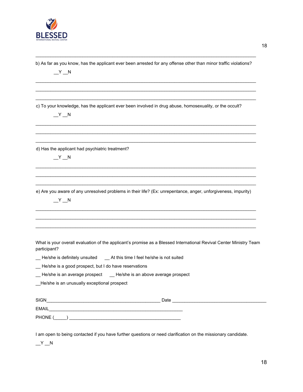

\_\_\_\_\_\_\_\_\_\_\_\_\_\_\_\_\_\_\_\_\_\_\_\_\_\_\_\_\_\_\_\_\_\_\_\_\_\_\_\_\_\_\_\_\_\_\_\_\_\_\_\_\_\_\_\_\_\_\_\_\_\_\_\_\_\_\_\_\_\_\_\_\_\_\_\_\_\_\_\_\_\_\_\_\_\_\_\_\_ b) As far as you know, has the applicant ever been arrested for any offense other than minor traffic violations?

\_\_\_\_\_\_\_\_\_\_\_\_\_\_\_\_\_\_\_\_\_\_\_\_\_\_\_\_\_\_\_\_\_\_\_\_\_\_\_\_\_\_\_\_\_\_\_\_\_\_\_\_\_\_\_\_\_\_\_\_\_\_\_\_\_\_\_\_\_\_\_\_\_\_\_\_\_\_\_\_\_\_\_\_\_\_\_\_\_ \_\_\_\_\_\_\_\_\_\_\_\_\_\_\_\_\_\_\_\_\_\_\_\_\_\_\_\_\_\_\_\_\_\_\_\_\_\_\_\_\_\_\_\_\_\_\_\_\_\_\_\_\_\_\_\_\_\_\_\_\_\_\_\_\_\_\_\_\_\_\_\_\_\_\_\_\_\_\_\_\_\_\_\_\_\_\_\_\_ \_\_\_\_\_\_\_\_\_\_\_\_\_\_\_\_\_\_\_\_\_\_\_\_\_\_\_\_\_\_\_\_\_\_\_\_\_\_\_\_\_\_\_\_\_\_\_\_\_\_\_\_\_\_\_\_\_\_\_\_\_\_\_\_\_\_\_\_\_\_\_\_\_\_\_\_\_\_\_\_\_\_\_\_\_\_\_\_\_

\_\_\_\_\_\_\_\_\_\_\_\_\_\_\_\_\_\_\_\_\_\_\_\_\_\_\_\_\_\_\_\_\_\_\_\_\_\_\_\_\_\_\_\_\_\_\_\_\_\_\_\_\_\_\_\_\_\_\_\_\_\_\_\_\_\_\_\_\_\_\_\_\_\_\_\_\_\_\_\_\_\_\_\_\_\_\_\_\_ \_\_\_\_\_\_\_\_\_\_\_\_\_\_\_\_\_\_\_\_\_\_\_\_\_\_\_\_\_\_\_\_\_\_\_\_\_\_\_\_\_\_\_\_\_\_\_\_\_\_\_\_\_\_\_\_\_\_\_\_\_\_\_\_\_\_\_\_\_\_\_\_\_\_\_\_\_\_\_\_\_\_\_\_\_\_\_\_\_ \_\_\_\_\_\_\_\_\_\_\_\_\_\_\_\_\_\_\_\_\_\_\_\_\_\_\_\_\_\_\_\_\_\_\_\_\_\_\_\_\_\_\_\_\_\_\_\_\_\_\_\_\_\_\_\_\_\_\_\_\_\_\_\_\_\_\_\_\_\_\_\_\_\_\_\_\_\_\_\_\_\_\_\_\_\_\_\_\_

 $Y_N$ 

c) To your knowledge, has the applicant ever been involved in drug abuse, homosexuality, or the occult?

 $Y_N$ 

d) Has the applicant had psychiatric treatment?

 $Y_N$ 

e) Are you aware of any unresolved problems in their life? (Ex: unrepentance, anger, unforgiveness, impurity)

\_\_\_\_\_\_\_\_\_\_\_\_\_\_\_\_\_\_\_\_\_\_\_\_\_\_\_\_\_\_\_\_\_\_\_\_\_\_\_\_\_\_\_\_\_\_\_\_\_\_\_\_\_\_\_\_\_\_\_\_\_\_\_\_\_\_\_\_\_\_\_\_\_\_\_\_\_\_\_\_\_\_\_\_\_\_\_\_\_ \_\_\_\_\_\_\_\_\_\_\_\_\_\_\_\_\_\_\_\_\_\_\_\_\_\_\_\_\_\_\_\_\_\_\_\_\_\_\_\_\_\_\_\_\_\_\_\_\_\_\_\_\_\_\_\_\_\_\_\_\_\_\_\_\_\_\_\_\_\_\_\_\_\_\_\_\_\_\_\_\_\_\_\_\_\_\_\_\_ \_\_\_\_\_\_\_\_\_\_\_\_\_\_\_\_\_\_\_\_\_\_\_\_\_\_\_\_\_\_\_\_\_\_\_\_\_\_\_\_\_\_\_\_\_\_\_\_\_\_\_\_\_\_\_\_\_\_\_\_\_\_\_\_\_\_\_\_\_\_\_\_\_\_\_\_\_\_\_\_\_\_\_\_\_\_\_\_\_

\_\_\_\_\_\_\_\_\_\_\_\_\_\_\_\_\_\_\_\_\_\_\_\_\_\_\_\_\_\_\_\_\_\_\_\_\_\_\_\_\_\_\_\_\_\_\_\_\_\_\_\_\_\_\_\_\_\_\_\_\_\_\_\_\_\_\_\_\_\_\_\_\_\_\_\_\_\_\_\_\_\_\_\_\_\_\_\_\_ \_\_\_\_\_\_\_\_\_\_\_\_\_\_\_\_\_\_\_\_\_\_\_\_\_\_\_\_\_\_\_\_\_\_\_\_\_\_\_\_\_\_\_\_\_\_\_\_\_\_\_\_\_\_\_\_\_\_\_\_\_\_\_\_\_\_\_\_\_\_\_\_\_\_\_\_\_\_\_\_\_\_\_\_\_\_\_\_\_ \_\_\_\_\_\_\_\_\_\_\_\_\_\_\_\_\_\_\_\_\_\_\_\_\_\_\_\_\_\_\_\_\_\_\_\_\_\_\_\_\_\_\_\_\_\_\_\_\_\_\_\_\_\_\_\_\_\_\_\_\_\_\_\_\_\_\_\_\_\_\_\_\_\_\_\_\_\_\_\_\_\_\_\_\_\_\_\_\_

 $Y_{\phantom{\prime\prime}}$   $N$ 

| What is your overall evaluation of the applicant's promise as a Blessed International Revival Center Ministry Team |  |
|--------------------------------------------------------------------------------------------------------------------|--|
| participant?                                                                                                       |  |

\_\_ He/she is definitely unsuited \_\_ At this time I feel he/she is not suited

\_\_ He/she is a good prospect, but I do have reservations

\_\_ He/she is an average prospect \_\_ He/she is an above average prospect

\_\_He/she is an unusually exceptional prospect

| <b>SIGN</b>  | Date |
|--------------|------|
| <b>EMAIL</b> |      |
| PHONE (      |      |

I am open to being contacted if you have further questions or need clarification on the missionary candidate.

 $Y_N$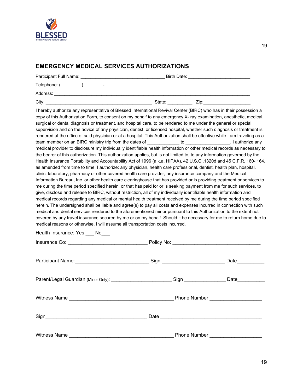

# **EMERGENCY MEDICAL SERVICES AUTHORIZATIONS**

| Participant Full Name: |                          | Birth Date: |      |
|------------------------|--------------------------|-------------|------|
| Telephone: (           | $\overline{\phantom{a}}$ |             |      |
| Address:               |                          |             |      |
| City:                  |                          | State:      | Zip: |

I hereby authorize any representative of Blessed International Revival Center (BIRC) who has in their possession a copy of this Authorization Form, to consent on my behalf to any emergency X- ray examination, anesthetic, medical, surgical or dental diagnosis or treatment, and hospital care, to be rendered to me under the general or special supervision and on the advice of any physician, dentist, or licensed hospital, whether such diagnosis or treatment is rendered at the office of said physician or at a hospital. This Authorization shall be effective while I am traveling as a team member on an BIRC ministry trip from the dates of Texas extends to the control of the lattes of the lattes of medical provider to disclosure my individually identifiable health information or other medical records as necessary to the bearer of this authorization. This authorization applies, but is not limited to, to any information governed by the Health Insurance Portability and Accountability Act of 1996 (a.k.a. HIPAA), 42 U.S.C .1320d and 45 C.F.R. 160- 164, as amended from time to time. I authorize: any physician, health care professional, dentist, health plan, hospital, clinic, laboratory, pharmacy or other covered health care provider, any insurance company and the Medical Information Bureau, Inc. or other health care clearinghouse that has provided or is providing treatment or services to me during the time period specified herein, or that has paid for or is seeking payment from me for such services, to give, disclose and release to BIRC, without restriction, all of my individually identifiable health information and medical records regarding any medical or mental health treatment received by me during the time period specified herein. The undersigned shall be liable and agree(s) to pay all costs and expenses incurred in connection with such medical and dental services rendered to the aforementioned minor pursuant to this Authorization to the extent not covered by any travel insurance secured by me or on my behalf. Should it be necessary for me to return home due to medical reasons or otherwise, I will assume all transportation costs incurred.

| Health Insurance: Yes |  | No |
|-----------------------|--|----|
|-----------------------|--|----|

|                                                                                                      | Sign _____________________________ | Date           |
|------------------------------------------------------------------------------------------------------|------------------------------------|----------------|
| Parent/Legal Guardian (Minor Only): ________________________________Sign ___________________________ |                                    | Date__________ |
|                                                                                                      |                                    |                |
|                                                                                                      |                                    |                |
|                                                                                                      |                                    |                |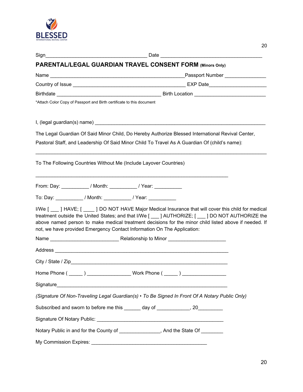

| <b>PARENTAL/LEGAL GUARDIAN TRAVEL CONSENT FORM (Minors Only)</b>                  |                                                                                                                                                                                                                                                                                                                 |
|-----------------------------------------------------------------------------------|-----------------------------------------------------------------------------------------------------------------------------------------------------------------------------------------------------------------------------------------------------------------------------------------------------------------|
|                                                                                   |                                                                                                                                                                                                                                                                                                                 |
|                                                                                   |                                                                                                                                                                                                                                                                                                                 |
|                                                                                   |                                                                                                                                                                                                                                                                                                                 |
| *Attach Color Copy of Passport and Birth certificate to this document             |                                                                                                                                                                                                                                                                                                                 |
|                                                                                   |                                                                                                                                                                                                                                                                                                                 |
|                                                                                   | The Legal Guardian Of Said Minor Child, Do Hereby Authorize Blessed International Revival Center,                                                                                                                                                                                                               |
|                                                                                   | Pastoral Staff, and Leadership Of Said Minor Child To Travel As A Guardian Of (child's name):                                                                                                                                                                                                                   |
| To The Following Countries Without Me (Include Layover Countries)                 |                                                                                                                                                                                                                                                                                                                 |
| From: Day: ___________/ Month: __________/ Year: __________                       |                                                                                                                                                                                                                                                                                                                 |
| To: Day: ___________/ Month: __________/ Year: ___________                        |                                                                                                                                                                                                                                                                                                                 |
| not, we have provided Emergency Contact Information On The Application:           | I/We [___] HAVE; [ ____] DO NOT HAVE Major Medical Insurance that will cover this child for medical<br>treatment outside the United States; and that I/We [____] AUTHORIZE; [___] DO NOT AUTHORIZE the<br>above named person to make medical treatment decisions for the minor child listed above if needed. If |
|                                                                                   |                                                                                                                                                                                                                                                                                                                 |
|                                                                                   |                                                                                                                                                                                                                                                                                                                 |
|                                                                                   |                                                                                                                                                                                                                                                                                                                 |
| Home Phone (______) __________________________Work Phone ( ______) ______________ |                                                                                                                                                                                                                                                                                                                 |
|                                                                                   |                                                                                                                                                                                                                                                                                                                 |
|                                                                                   | (Signature Of Non-Traveling Legal Guardian(s) • To Be Signed In Front Of A Notary Public Only)                                                                                                                                                                                                                  |
| Subscribed and sworn to before me this ______ day of ____________, 20_________    |                                                                                                                                                                                                                                                                                                                 |
|                                                                                   |                                                                                                                                                                                                                                                                                                                 |
| Notary Public in and for the County of _______________, And the State Of _______  |                                                                                                                                                                                                                                                                                                                 |
| My Commission Expires:                                                            |                                                                                                                                                                                                                                                                                                                 |

20